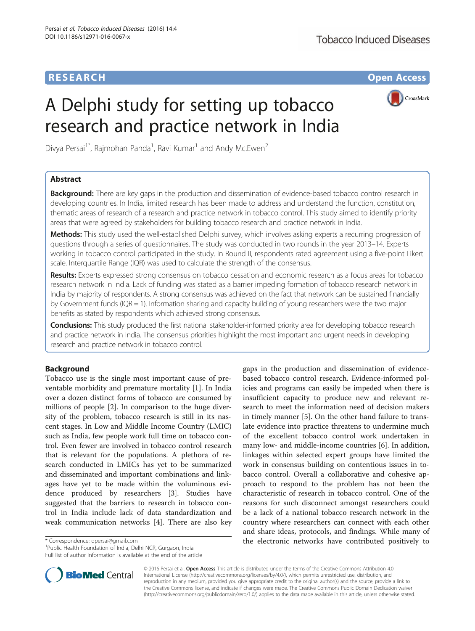## **RESEARCH CHE Open Access**



# A Delphi study for setting up tobacco research and practice network in India

Divya Persai<sup>1\*</sup>, Rajmohan Panda<sup>1</sup>, Ravi Kumar<sup>1</sup> and Andy Mc.Ewen<sup>2</sup>

## Abstract

**Background:** There are key gaps in the production and dissemination of evidence-based tobacco control research in developing countries. In India, limited research has been made to address and understand the function, constitution, thematic areas of research of a research and practice network in tobacco control. This study aimed to identify priority areas that were agreed by stakeholders for building tobacco research and practice network in India.

Methods: This study used the well-established Delphi survey, which involves asking experts a recurring progression of questions through a series of questionnaires. The study was conducted in two rounds in the year 2013–14. Experts working in tobacco control participated in the study. In Round II, respondents rated agreement using a five-point Likert scale. Interquartile Range (IQR) was used to calculate the strength of the consensus.

Results: Experts expressed strong consensus on tobacco cessation and economic research as a focus areas for tobacco research network in India. Lack of funding was stated as a barrier impeding formation of tobacco research network in India by majority of respondents. A strong consensus was achieved on the fact that network can be sustained financially by Government funds (IQR = 1). Information sharing and capacity building of young researchers were the two major benefits as stated by respondents which achieved strong consensus.

Conclusions: This study produced the first national stakeholder-informed priority area for developing tobacco research and practice network in India. The consensus priorities highlight the most important and urgent needs in developing research and practice network in tobacco control.

## Background

Tobacco use is the single most important cause of preventable morbidity and premature mortality [\[1](#page-6-0)]. In India over a dozen distinct forms of tobacco are consumed by millions of people [\[2\]](#page-6-0). In comparison to the huge diversity of the problem, tobacco research is still in its nascent stages. In Low and Middle Income Country (LMIC) such as India, few people work full time on tobacco control. Even fewer are involved in tobacco control research that is relevant for the populations. A plethora of research conducted in LMICs has yet to be summarized and disseminated and important combinations and linkages have yet to be made within the voluminous evidence produced by researchers [\[3](#page-6-0)]. Studies have suggested that the barriers to research in tobacco control in India include lack of data standardization and weak communication networks [[4\]](#page-6-0). There are also key

<sup>1</sup>Public Health Foundation of India, Delhi NCR, Gurgaon, India Full list of author information is available at the end of the article





© 2016 Persai et al. Open Access This article is distributed under the terms of the Creative Commons Attribution 4.0 International License [\(http://creativecommons.org/licenses/by/4.0/](http://creativecommons.org/licenses/by/4.0/)), which permits unrestricted use, distribution, and reproduction in any medium, provided you give appropriate credit to the original author(s) and the source, provide a link to the Creative Commons license, and indicate if changes were made. The Creative Commons Public Domain Dedication waiver [\(http://creativecommons.org/publicdomain/zero/1.0/](http://creativecommons.org/publicdomain/zero/1.0/)) applies to the data made available in this article, unless otherwise stated.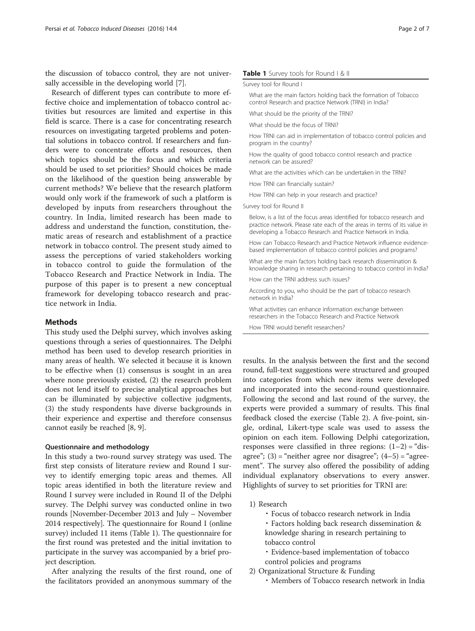the discussion of tobacco control, they are not universally accessible in the developing world [\[7](#page-6-0)].

Research of different types can contribute to more effective choice and implementation of tobacco control activities but resources are limited and expertise in this field is scarce. There is a case for concentrating research resources on investigating targeted problems and potential solutions in tobacco control. If researchers and funders were to concentrate efforts and resources, then which topics should be the focus and which criteria should be used to set priorities? Should choices be made on the likelihood of the question being answerable by current methods? We believe that the research platform would only work if the framework of such a platform is developed by inputs from researchers throughout the country. In India, limited research has been made to address and understand the function, constitution, thematic areas of research and establishment of a practice network in tobacco control. The present study aimed to assess the perceptions of varied stakeholders working in tobacco control to guide the formulation of the Tobacco Research and Practice Network in India. The purpose of this paper is to present a new conceptual framework for developing tobacco research and practice network in India.

## Methods

This study used the Delphi survey, which involves asking questions through a series of questionnaires. The Delphi method has been used to develop research priorities in many areas of health. We selected it because it is known to be effective when (1) consensus is sought in an area where none previously existed, (2) the research problem does not lend itself to precise analytical approaches but can be illuminated by subjective collective judgments, (3) the study respondents have diverse backgrounds in their experience and expertise and therefore consensus cannot easily be reached [\[8, 9\]](#page-6-0).

#### Questionnaire and methodology

In this study a two-round survey strategy was used. The first step consists of literature review and Round I survey to identify emerging topic areas and themes. All topic areas identified in both the literature review and Round I survey were included in Round II of the Delphi survey. The Delphi survey was conducted online in two rounds [November-December 2013 and July – November 2014 respectively]. The questionnaire for Round I (online survey) included 11 items (Table 1). The questionnaire for the first round was pretested and the initial invitation to participate in the survey was accompanied by a brief project description.

After analyzing the results of the first round, one of the facilitators provided an anonymous summary of the

Survey tool for Round I

| What are the main factors holding back the formation of Tobacco |
|-----------------------------------------------------------------|
| control Research and practice Network (TRNI) in India?          |

What should be the priority of the TRNI?

What should be the focus of TRNI?

How TRNI can aid in implementation of tobacco control policies and program in the country?

How the quality of good tobacco control research and practice network can be assured?

What are the activities which can be undertaken in the TRNI?

How TRNI can financially sustain?

How TRNI can help in your research and practice?

Survey tool for Round II

Below, is a list of the focus areas identified for tobacco research and practice network. Please rate each of the areas in terms of its value in developing a Tobacco Research and Practice Network in India.

How can Tobacco Research and Practice Network influence evidencebased implementation of tobacco control policies and programs?

What are the main factors holding back research dissemination & knowledge sharing in research pertaining to tobacco control in India?

How can the TRNI address such issues?

According to you, who should be the part of tobacco research network in India?

What activities can enhance information exchange between researchers in the Tobacco Research and Practice Network

How TRNI would benefit researchers?

results. In the analysis between the first and the second round, full-text suggestions were structured and grouped into categories from which new items were developed and incorporated into the second-round questionnaire. Following the second and last round of the survey, the experts were provided a summary of results. This final feedback closed the exercise (Table [2\)](#page-2-0). A five-point, single, ordinal, Likert-type scale was used to assess the opinion on each item. Following Delphi categorization, responses were classified in three regions:  $(1-2) =$  "disagree";  $(3)$  = "neither agree nor disagree";  $(4-5)$  = "agreement". The survey also offered the possibility of adding individual explanatory observations to every answer. Highlights of survey to set priorities for TRNI are:

- 1) Research
	- Focus of tobacco research network in India
	- Factors holding back research dissemination & knowledge sharing in research pertaining to tobacco control
	- Evidence-based implementation of tobacco control policies and programs
- 2) Organizational Structure & Funding
	- Members of Tobacco research network in India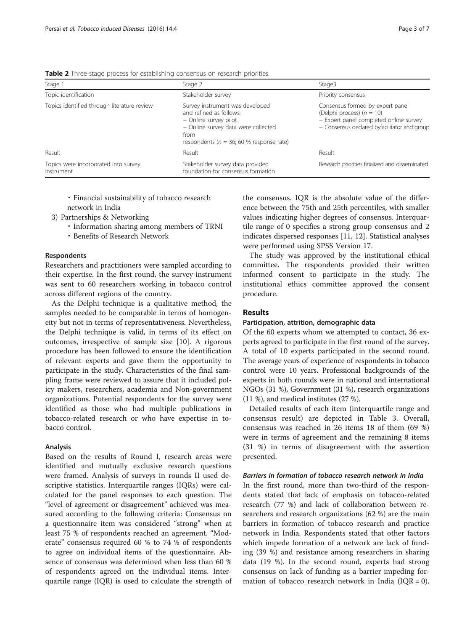<span id="page-2-0"></span>Table 2 Three-stage process for establishing consensus on research priorities

| Stage 1                                            | Stage 2                                                                                                                                                                            | Stage3                                                                                                                                                      |  |  |
|----------------------------------------------------|------------------------------------------------------------------------------------------------------------------------------------------------------------------------------------|-------------------------------------------------------------------------------------------------------------------------------------------------------------|--|--|
| Topic identification                               | Stakeholder survey                                                                                                                                                                 | Priority consensus                                                                                                                                          |  |  |
| Topics identified through literature review        | Survey instrument was developed<br>and refined as follows:<br>- Online survey pilot<br>- Online survey data were collected<br>from<br>respondents ( $n = 36$ ; 60 % response rate) | Consensus formed by expert panel<br>(Delphi process) ( $n = 10$ )<br>- Expert panel completed online survey<br>- Consensus declared byfacilitator and group |  |  |
| Result                                             | Result                                                                                                                                                                             | Result                                                                                                                                                      |  |  |
| Topics were incorporated into survey<br>instrument | Stakeholder survey data provided<br>foundation for consensus formation                                                                                                             | Research priorities finalized and disseminated                                                                                                              |  |  |

▪ Financial sustainability of tobacco research network in India

- 3) Partnerships & Networking
	- Information sharing among members of TRNI
	- Benefits of Research Network

#### Respondents

Researchers and practitioners were sampled according to their expertise. In the first round, the survey instrument was sent to 60 researchers working in tobacco control across different regions of the country.

As the Delphi technique is a qualitative method, the samples needed to be comparable in terms of homogeneity but not in terms of representativeness. Nevertheless, the Delphi technique is valid, in terms of its effect on outcomes, irrespective of sample size [[10](#page-6-0)]. A rigorous procedure has been followed to ensure the identification of relevant experts and gave them the opportunity to participate in the study. Characteristics of the final sampling frame were reviewed to assure that it included policy makers, researchers, academia and Non-government organizations. Potential respondents for the survey were identified as those who had multiple publications in tobacco-related research or who have expertise in tobacco control.

### Analysis

Based on the results of Round I, research areas were identified and mutually exclusive research questions were framed. Analysis of surveys in rounds II used descriptive statistics. Interquartile ranges (IQRs) were calculated for the panel responses to each question. The "level of agreement or disagreement" achieved was measured according to the following criteria: Consensus on a questionnaire item was considered "strong" when at least 75 % of respondents reached an agreement. "Moderate" consensus required 60 % to 74 % of respondents to agree on individual items of the questionnaire. Absence of consensus was determined when less than 60 % of respondents agreed on the individual items. Interquartile range (IQR) is used to calculate the strength of

the consensus. IQR is the absolute value of the difference between the 75th and 25th percentiles, with smaller values indicating higher degrees of consensus. Interquartile range of 0 specifies a strong group consensus and 2 indicates dispersed responses [\[11](#page-6-0), [12](#page-6-0)]. Statistical analyses were performed using SPSS Version 17.

The study was approved by the institutional ethical committee. The respondents provided their written informed consent to participate in the study. The institutional ethics committee approved the consent procedure.

## Results

## Participation, attrition, demographic data

Of the 60 experts whom we attempted to contact, 36 experts agreed to participate in the first round of the survey. A total of 10 experts participated in the second round. The average years of experience of respondents in tobacco control were 10 years. Professional backgrounds of the experts in both rounds were in national and international NGOs (31 %), Government (31 %), research organizations (11 %), and medical institutes (27 %).

Detailed results of each item (interquartile range and consensus result) are depicted in Table [3](#page-3-0). Overall, consensus was reached in 26 items 18 of them (69 %) were in terms of agreement and the remaining 8 items (31 %) in terms of disagreement with the assertion presented.

## Barriers in formation of tobacco research network in India

In the first round, more than two-third of the respondents stated that lack of emphasis on tobacco-related research (77 %) and lack of collaboration between researchers and research organizations (62 %) are the main barriers in formation of tobacco research and practice network in India. Respondents stated that other factors which impede formation of a network are lack of funding (39 %) and resistance among researchers in sharing data (19 %). In the second round, experts had strong consensus on lack of funding as a barrier impeding formation of tobacco research network in India  $(IQR = 0)$ .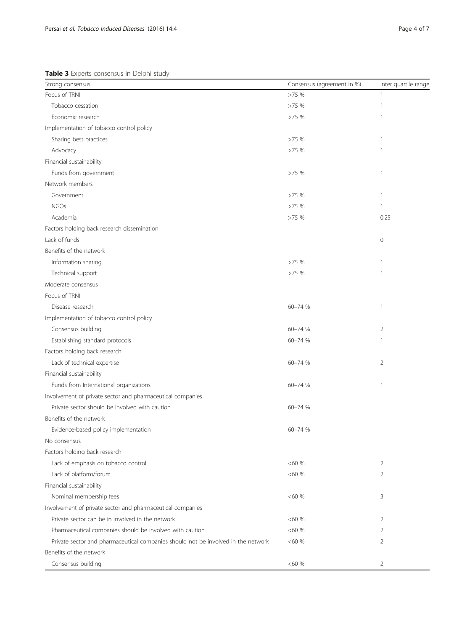<span id="page-3-0"></span>Table 3 Experts consensus in Delphi study

| Strong consensus                                                                  | Consensus (agreement in %) | Inter quartile range |
|-----------------------------------------------------------------------------------|----------------------------|----------------------|
| Focus of TRNI                                                                     | >75%                       | $\mathbf{1}$         |
| Tobacco cessation                                                                 | >75%                       | $\mathbf{1}$         |
| Economic research                                                                 | >75%                       | $\mathbf{1}$         |
| Implementation of tobacco control policy                                          |                            |                      |
| Sharing best practices                                                            | >75%                       | $\mathbf{1}$         |
| Advocacy                                                                          | >75%                       | $\mathbf{1}$         |
| Financial sustainability                                                          |                            |                      |
| Funds from government                                                             | >75%                       | $\mathbf{1}$         |
| Network members                                                                   |                            |                      |
| Government                                                                        | >75%                       | $\mathbf{1}$         |
| <b>NGOs</b>                                                                       | >75%                       | 1                    |
| Academia                                                                          | >75%                       | 0.25                 |
| Factors holding back research dissemination                                       |                            |                      |
| Lack of funds                                                                     |                            | 0                    |
| Benefits of the network                                                           |                            |                      |
| Information sharing                                                               | >75%                       | $\mathbf{1}$         |
| Technical support                                                                 | >75%                       | $\mathbf{1}$         |
| Moderate consensus                                                                |                            |                      |
| Focus of TRNI                                                                     |                            |                      |
| Disease research                                                                  | 60-74 %                    | $\mathbf{1}$         |
| Implementation of tobacco control policy                                          |                            |                      |
| Consensus building                                                                | 60-74 %                    | $\overline{2}$       |
| Establishing standard protocols                                                   | 60-74 %                    | 1                    |
| Factors holding back research                                                     |                            |                      |
| Lack of technical expertise                                                       | 60-74 %                    | 2                    |
| Financial sustainability                                                          |                            |                      |
| Funds from International organizations                                            | 60-74 %                    | $\mathbf{1}$         |
| Involvement of private sector and pharmaceutical companies                        |                            |                      |
| Private sector should be involved with caution                                    | 60-74 %                    |                      |
| Benefits of the network                                                           |                            |                      |
| Evidence-based policy implementation                                              | 60-74 %                    |                      |
| No consensus                                                                      |                            |                      |
| Factors holding back research                                                     |                            |                      |
| Lack of emphasis on tobacco control                                               | <60%                       | 2                    |
| Lack of platform/forum                                                            | <60%                       | 2                    |
| Financial sustainability                                                          |                            |                      |
| Nominal membership fees                                                           | <60%                       | 3                    |
| Involvement of private sector and pharmaceutical companies                        |                            |                      |
| Private sector can be in involved in the network                                  | <60%                       | 2                    |
| Pharmaceutical companies should be involved with caution                          | <60%                       | $\overline{2}$       |
| Private sector and pharmaceutical companies should not be involved in the network | <60%                       | 2                    |
| Benefits of the network                                                           |                            |                      |
| Consensus building                                                                | <60%                       | $\overline{2}$       |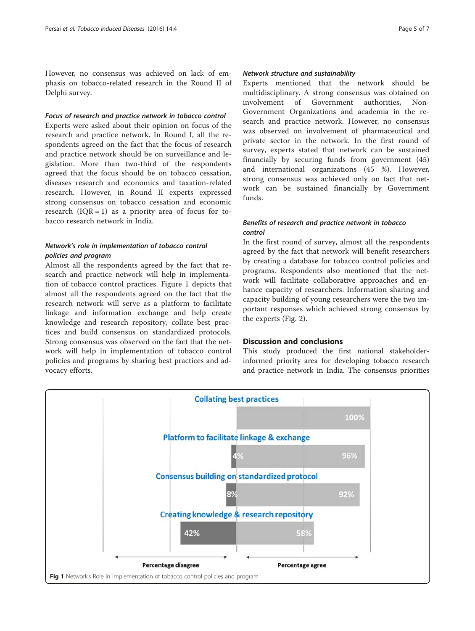However, no consensus was achieved on lack of emphasis on tobacco-related research in the Round II of Delphi survey.

### Focus of research and practice network in tobacco control

Experts were asked about their opinion on focus of the research and practice network. In Round I, all the respondents agreed on the fact that the focus of research and practice network should be on surveillance and legislation. More than two-third of the respondents agreed that the focus should be on tobacco cessation, diseases research and economics and taxation-related research. However, in Round II experts expressed strong consensus on tobacco cessation and economic research  $(IQR = 1)$  as a priority area of focus for tobacco research network in India.

## Network's role in implementation of tobacco control policies and program

Almost all the respondents agreed by the fact that research and practice network will help in implementation of tobacco control practices. Figure 1 depicts that almost all the respondents agreed on the fact that the research network will serve as a platform to facilitate linkage and information exchange and help create knowledge and research repository, collate best practices and build consensus on standardized protocols. Strong consensus was observed on the fact that the network will help in implementation of tobacco control policies and programs by sharing best practices and advocacy efforts.

## Network structure and sustainability

Experts mentioned that the network should be multidisciplinary. A strong consensus was obtained on involvement of Government authorities, Non-Government Organizations and academia in the research and practice network. However, no consensus was observed on involvement of pharmaceutical and private sector in the network. In the first round of survey, experts stated that network can be sustained financially by securing funds from government (45) and international organizations (45 %). However, strong consensus was achieved only on fact that network can be sustained financially by Government funds.

## Benefits of research and practice network in tobacco control

In the first round of survey, almost all the respondents agreed by the fact that network will benefit researchers by creating a database for tobacco control policies and programs. Respondents also mentioned that the network will facilitate collaborative approaches and enhance capacity of researchers. Information sharing and capacity building of young researchers were the two important responses which achieved strong consensus by the experts (Fig. [2](#page-5-0)).

## Discussion and conclusions

This study produced the first national stakeholderinformed priority area for developing tobacco research and practice network in India. The consensus priorities

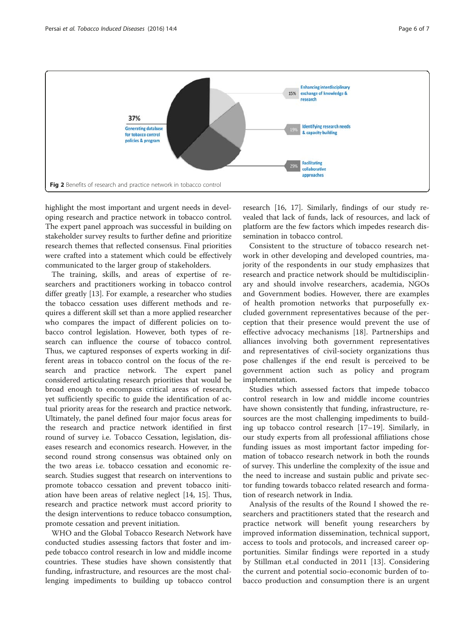<span id="page-5-0"></span>

highlight the most important and urgent needs in developing research and practice network in tobacco control. The expert panel approach was successful in building on stakeholder survey results to further define and prioritize research themes that reflected consensus. Final priorities were crafted into a statement which could be effectively communicated to the larger group of stakeholders.

The training, skills, and areas of expertise of researchers and practitioners working in tobacco control differ greatly [[13\]](#page-6-0). For example, a researcher who studies the tobacco cessation uses different methods and requires a different skill set than a more applied researcher who compares the impact of different policies on tobacco control legislation. However, both types of research can influence the course of tobacco control. Thus, we captured responses of experts working in different areas in tobacco control on the focus of the research and practice network. The expert panel considered articulating research priorities that would be broad enough to encompass critical areas of research, yet sufficiently specific to guide the identification of actual priority areas for the research and practice network. Ultimately, the panel defined four major focus areas for the research and practice network identified in first round of survey i.e. Tobacco Cessation, legislation, diseases research and economics research. However, in the second round strong consensus was obtained only on the two areas i.e. tobacco cessation and economic research. Studies suggest that research on interventions to promote tobacco cessation and prevent tobacco initiation have been areas of relative neglect [[14](#page-6-0), [15](#page-6-0)]. Thus, research and practice network must accord priority to the design interventions to reduce tobacco consumption, promote cessation and prevent initiation.

WHO and the Global Tobacco Research Network have conducted studies assessing factors that foster and impede tobacco control research in low and middle income countries. These studies have shown consistently that funding, infrastructure, and resources are the most challenging impediments to building up tobacco control

research [\[16](#page-6-0), [17\]](#page-6-0). Similarly, findings of our study revealed that lack of funds, lack of resources, and lack of platform are the few factors which impedes research dissemination in tobacco control.

Consistent to the structure of tobacco research network in other developing and developed countries, majority of the respondents in our study emphasizes that research and practice network should be multidisciplinary and should involve researchers, academia, NGOs and Government bodies. However, there are examples of health promotion networks that purposefully excluded government representatives because of the perception that their presence would prevent the use of effective advocacy mechanisms [[18](#page-6-0)]. Partnerships and alliances involving both government representatives and representatives of civil-society organizations thus pose challenges if the end result is perceived to be government action such as policy and program implementation.

Studies which assessed factors that impede tobacco control research in low and middle income countries have shown consistently that funding, infrastructure, resources are the most challenging impediments to building up tobacco control research [[17](#page-6-0)–[19](#page-6-0)]. Similarly, in our study experts from all professional affiliations chose funding issues as most important factor impeding formation of tobacco research network in both the rounds of survey. This underline the complexity of the issue and the need to increase and sustain public and private sector funding towards tobacco related research and formation of research network in India.

Analysis of the results of the Round I showed the researchers and practitioners stated that the research and practice network will benefit young researchers by improved information dissemination, technical support, access to tools and protocols, and increased career opportunities. Similar findings were reported in a study by Stillman et.al conducted in 2011 [\[13](#page-6-0)]. Considering the current and potential socio-economic burden of tobacco production and consumption there is an urgent